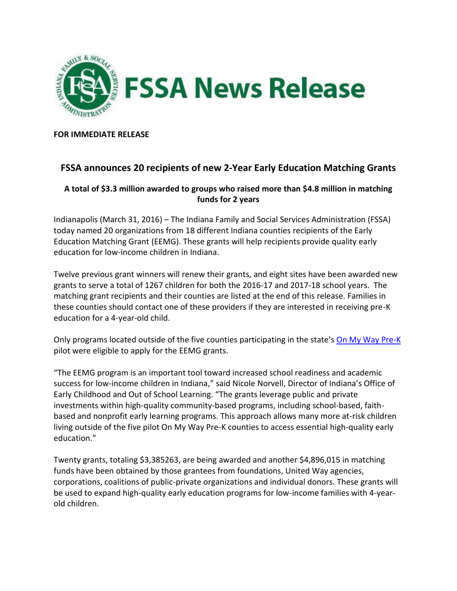

**FOR IMMEDIATE RELEASE**

## **FSSA announces 20 recipients of new 2-Year Early Education Matching Grants**

## **A total of \$3.3 million awarded to groups who raised more than \$4.8 million in matching funds for 2 years**

Indianapolis (March 31, 2016) – The Indiana Family and Social Services Administration (FSSA) today named 20 organizations from 18 different Indiana counties recipients of the Early Education Matching Grant (EEMG). These grants will help recipients provide quality early education for low-income children in Indiana.

Twelve previous grant winners will renew their grants, and eight sites have been awarded new grants to serve a total of 1267 children for both the 2016-17 and 2017-18 school years. The matching grant recipients and their counties are listed at the end of this release. Families in these counties should contact one of these providers if they are interested in receiving pre-K education for a 4-year-old child.

Only programs located outside of the five counties participating in the state's [On My Way Pre-K](http://www.in.gov/fssa/carefinder/4899.htm) pilot were eligible to apply for the EEMG grants.

"The EEMG program is an important tool toward increased school readiness and academic success for low-income children in Indiana," said Nicole Norvell, Director of Indiana's Office of Early Childhood and Out of School Learning. "The grants leverage public and private investments within high-quality community-based programs, including school-based, faithbased and nonprofit early learning programs. This approach allows many more at-risk children living outside of the five pilot On My Way Pre-K counties to access essential high-quality early education."

Twenty grants, totaling \$3,385263, are being awarded and another \$4,896,015 in matching funds have been obtained by those grantees from foundations, United Way agencies, corporations, coalitions of public-private organizations and individual donors. These grants will be used to expand high-quality early education programs for low-income families with 4-yearold children.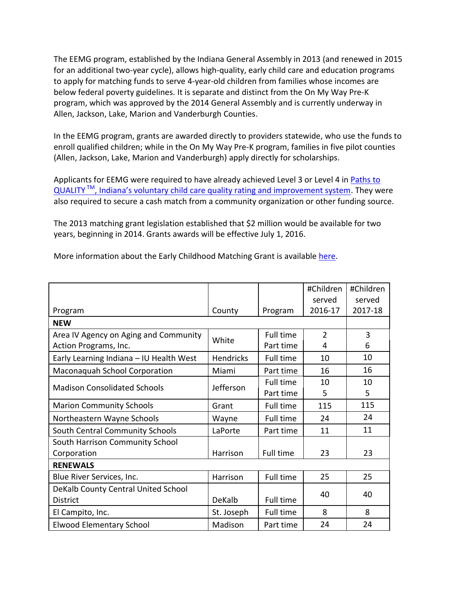The EEMG program, established by the Indiana General Assembly in 2013 (and renewed in 2015 for an additional two-year cycle), allows high-quality, early child care and education programs to apply for matching funds to serve 4-year-old children from families whose incomes are below federal poverty guidelines. It is separate and distinct from the On My Way Pre-K program, which was approved by the 2014 General Assembly and is currently underway in Allen, Jackson, Lake, Marion and Vanderburgh Counties.

In the EEMG program, grants are awarded directly to providers statewide, who use the funds to enroll qualified children; while in the On My Way Pre-K program, families in five pilot counties (Allen, Jackson, Lake, Marion and Vanderburgh) apply directly for scholarships.

Applicants for EEMG were required to have already achieved Level 3 or Level 4 in Paths to QUALITY<sup>TM</sup>, Indiana's [voluntary child care quality rating and improvement system.](http://www.in.gov/fssa/carefinder/2554.htm) They were also required to secure a cash match from a community organization or other funding source.

The 2013 matching grant legislation established that \$2 million would be available for two years, beginning in 2014. Grants awards will be effective July 1, 2016.

| More information about the Early Childhood Matching Grant is available here. |  |
|------------------------------------------------------------------------------|--|
|------------------------------------------------------------------------------|--|

|                                         |                  |           | #Children      | #Children |  |  |  |
|-----------------------------------------|------------------|-----------|----------------|-----------|--|--|--|
|                                         |                  |           | served         | served    |  |  |  |
| Program                                 | County           | Program   | 2016-17        | 2017-18   |  |  |  |
| <b>NEW</b>                              |                  |           |                |           |  |  |  |
| Area IV Agency on Aging and Community   | White            | Full time | $\overline{2}$ | 3         |  |  |  |
| Action Programs, Inc.                   |                  | Part time | 4              | 6         |  |  |  |
| Early Learning Indiana - IU Health West | <b>Hendricks</b> | Full time | 10             | 10        |  |  |  |
| Maconaquah School Corporation           | Miami            | Part time | 16             | 16        |  |  |  |
| <b>Madison Consolidated Schools</b>     | Jefferson        | Full time | 10             | 10        |  |  |  |
|                                         |                  | Part time | 5              | 5         |  |  |  |
| <b>Marion Community Schools</b>         | Grant            | Full time | 115            | 115       |  |  |  |
| Northeastern Wayne Schools              | Wayne            | Full time | 24             | 24        |  |  |  |
| South Central Community Schools         | LaPorte          | Part time | 11             | 11        |  |  |  |
| South Harrison Community School         |                  |           |                |           |  |  |  |
| Corporation                             | Harrison         | Full time | 23             | 23        |  |  |  |
| <b>RENEWALS</b>                         |                  |           |                |           |  |  |  |
| Blue River Services, Inc.               | Harrison         | Full time | 25             | 25        |  |  |  |
| DeKalb County Central United School     |                  |           | 40             | 40        |  |  |  |
| <b>District</b>                         | DeKalb           | Full time |                |           |  |  |  |
| El Campito, Inc.                        | St. Joseph       | Full time | 8              | 8         |  |  |  |
| <b>Elwood Elementary School</b>         | Madison          | Part time | 24             | 24        |  |  |  |